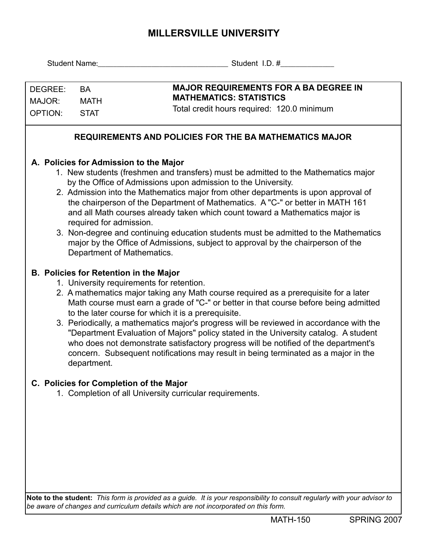## **MILLERSVILLE UNIVERSITY**

| Student Name:                          |                                                                                                         | Student I.D. #                                                                                                                                                            |  |  |  |  |  |  |
|----------------------------------------|---------------------------------------------------------------------------------------------------------|---------------------------------------------------------------------------------------------------------------------------------------------------------------------------|--|--|--|--|--|--|
|                                        |                                                                                                         |                                                                                                                                                                           |  |  |  |  |  |  |
| DEGREE:                                | <b>BA</b>                                                                                               | <b>MAJOR REQUIREMENTS FOR A BA DEGREE IN</b>                                                                                                                              |  |  |  |  |  |  |
| MAJOR:                                 | <b>MATH</b>                                                                                             | <b>MATHEMATICS: STATISTICS</b>                                                                                                                                            |  |  |  |  |  |  |
| <b>OPTION:</b>                         | <b>STAT</b>                                                                                             | Total credit hours required: 120.0 minimum                                                                                                                                |  |  |  |  |  |  |
|                                        |                                                                                                         |                                                                                                                                                                           |  |  |  |  |  |  |
|                                        |                                                                                                         | <b>REQUIREMENTS AND POLICIES FOR THE BA MATHEMATICS MAJOR</b>                                                                                                             |  |  |  |  |  |  |
| A. Policies for Admission to the Major |                                                                                                         |                                                                                                                                                                           |  |  |  |  |  |  |
|                                        | 1. New students (freshmen and transfers) must be admitted to the Mathematics major                      |                                                                                                                                                                           |  |  |  |  |  |  |
|                                        | by the Office of Admissions upon admission to the University.                                           |                                                                                                                                                                           |  |  |  |  |  |  |
|                                        | 2. Admission into the Mathematics major from other departments is upon approval of                      |                                                                                                                                                                           |  |  |  |  |  |  |
|                                        | the chairperson of the Department of Mathematics. A "C-" or better in MATH 161                          |                                                                                                                                                                           |  |  |  |  |  |  |
|                                        | and all Math courses already taken which count toward a Mathematics major is<br>required for admission. |                                                                                                                                                                           |  |  |  |  |  |  |
|                                        | 3. Non-degree and continuing education students must be admitted to the Mathematics                     |                                                                                                                                                                           |  |  |  |  |  |  |
|                                        |                                                                                                         | major by the Office of Admissions, subject to approval by the chairperson of the                                                                                          |  |  |  |  |  |  |
|                                        |                                                                                                         | Department of Mathematics.                                                                                                                                                |  |  |  |  |  |  |
|                                        |                                                                                                         |                                                                                                                                                                           |  |  |  |  |  |  |
|                                        |                                                                                                         | <b>B. Policies for Retention in the Major</b><br>1. University requirements for retention.                                                                                |  |  |  |  |  |  |
|                                        | 2. A mathematics major taking any Math course required as a prerequisite for a later                    |                                                                                                                                                                           |  |  |  |  |  |  |
|                                        |                                                                                                         | Math course must earn a grade of "C-" or better in that course before being admitted                                                                                      |  |  |  |  |  |  |
|                                        |                                                                                                         | to the later course for which it is a prerequisite.                                                                                                                       |  |  |  |  |  |  |
|                                        |                                                                                                         | 3. Periodically, a mathematics major's progress will be reviewed in accordance with the                                                                                   |  |  |  |  |  |  |
|                                        |                                                                                                         | "Department Evaluation of Majors" policy stated in the University catalog. A student                                                                                      |  |  |  |  |  |  |
|                                        |                                                                                                         | who does not demonstrate satisfactory progress will be notified of the department's<br>concern. Subsequent notifications may result in being terminated as a major in the |  |  |  |  |  |  |
|                                        | department.                                                                                             |                                                                                                                                                                           |  |  |  |  |  |  |
|                                        |                                                                                                         |                                                                                                                                                                           |  |  |  |  |  |  |
|                                        |                                                                                                         | C. Policies for Completion of the Major                                                                                                                                   |  |  |  |  |  |  |
|                                        |                                                                                                         | 1. Completion of all University curricular requirements.                                                                                                                  |  |  |  |  |  |  |
|                                        |                                                                                                         |                                                                                                                                                                           |  |  |  |  |  |  |
|                                        |                                                                                                         |                                                                                                                                                                           |  |  |  |  |  |  |
|                                        |                                                                                                         |                                                                                                                                                                           |  |  |  |  |  |  |
|                                        |                                                                                                         |                                                                                                                                                                           |  |  |  |  |  |  |
|                                        |                                                                                                         |                                                                                                                                                                           |  |  |  |  |  |  |
|                                        |                                                                                                         |                                                                                                                                                                           |  |  |  |  |  |  |
|                                        |                                                                                                         |                                                                                                                                                                           |  |  |  |  |  |  |
|                                        |                                                                                                         |                                                                                                                                                                           |  |  |  |  |  |  |
|                                        |                                                                                                         | Note to the student: This form is provided as a quide. It is your responsibility to consult requiarly with your advisor to                                                |  |  |  |  |  |  |

**Note to the student:** *This form is provided as a guide. It is your responsibility to consult regularly with your advisor to be aware of changes and curriculum details which are not incorporated on this form.*